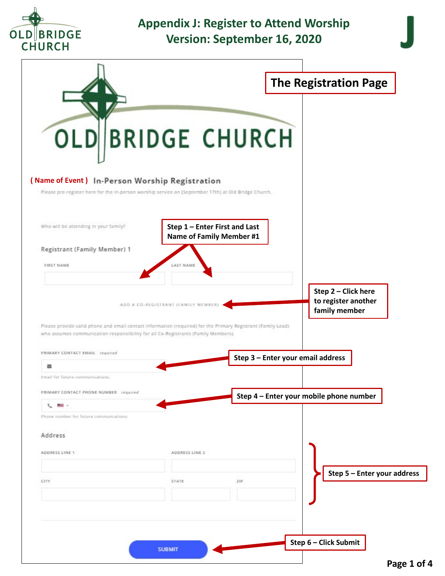

## **Appendix J: Register to Attend Worship Version: September 16, 2020**

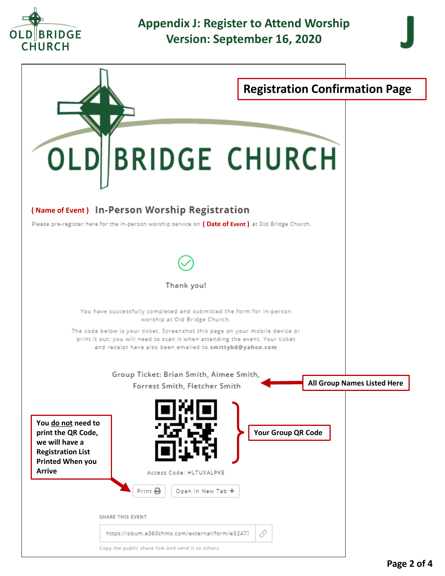

## **Appendix J: Register to Attend Worship Version: September 16, 2020**



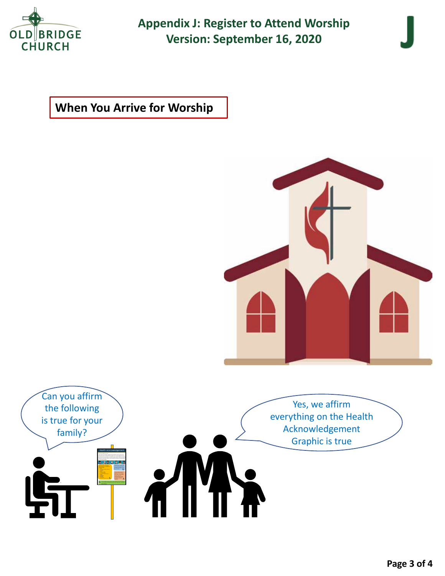

**Appendix J: Register to Attend Worship Version: September 16, 2020**

## **When You Arrive for Worship**